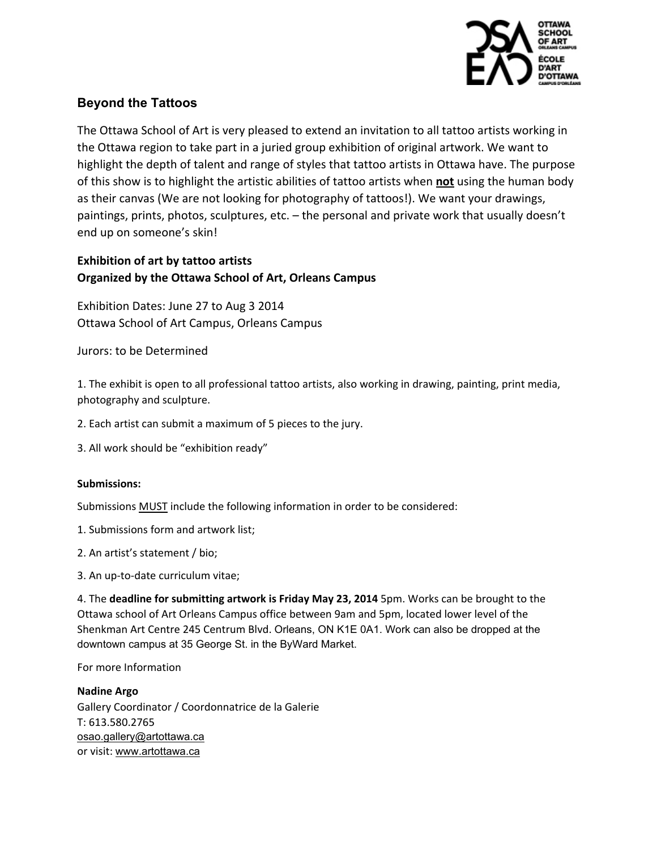

# **Beyond the Tattoos**

The Ottawa School of Art is very pleased to extend an invitation to all tattoo artists working in the Ottawa region to take part in a juried group exhibition of original artwork. We want to highlight the depth of talent and range of styles that tattoo artists in Ottawa have. The purpose of this show is to highlight the artistic abilities of tattoo artists when **not** using the human body as their canvas (We are not looking for photography of tattoos!). We want your drawings, paintings, prints, photos, sculptures, etc. – the personal and private work that usually doesn't end up on someone's skin!

# **Exhibition of art by tattoo artists Organized by the Ottawa School of Art, Orleans Campus**

Exhibition Dates: June 27 to Aug 3 2014 Ottawa School of Art Campus, Orleans Campus

Jurors: to be Determined

1. The exhibit is open to all professional tattoo artists, also working in drawing, painting, print media, photography and sculpture.

- 2. Each artist can submit a maximum of 5 pieces to the jury.
- 3. All work should be "exhibition ready"

### **Submissions:**

Submissions MUST include the following information in order to be considered:

- 1. Submissions form and artwork list;
- 2. An artist's statement / bio;
- 3. An up-to-date curriculum vitae;

4. The deadline for submitting artwork is Friday May 23, 2014 5pm. Works can be brought to the Ottawa school of Art Orleans Campus office between 9am and 5pm, located lower level of the Shenkman Art Centre 245 Centrum Blvd. Orleans, ON K1E 0A1. Work can also be dropped at the downtown campus at 35 George St. in the ByWard Market.

For more Information

**Nadine!Argo** Gallery Coordinator / Coordonnatrice de la Galerie T: 613.580.2765 osao.gallery@artottawa.ca or visit: www.artottawa.ca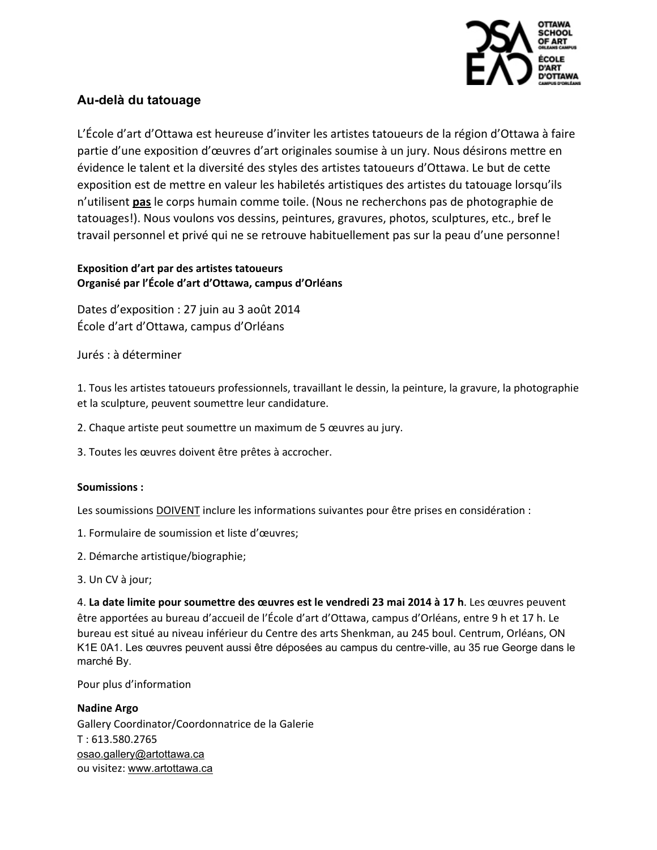

## **Au-delà du tatouage**

L'École d'art d'Ottawa est heureuse d'inviter les artistes tatoueurs de la région d'Ottawa à faire partie d'une exposition d'œuvres d'art originales soumise à un jury. Nous désirons mettre en évidence le talent et la diversité des styles des artistes tatoueurs d'Ottawa. Le but de cette exposition est de mettre en valeur les habiletés artistiques des artistes du tatouage lorsqu'ils n'utilisent **pas** le corps humain comme toile. (Nous ne recherchons pas de photographie de tatouages!). Nous voulons vos dessins, peintures, gravures, photos, sculptures, etc., bref le travail personnel et privé qui ne se retrouve habituellement pas sur la peau d'une personne!

## **Exposition d'art par des artistes tatoueurs Organisé par l'École d'art d'Ottawa, campus d'Orléans**

Dates d'exposition : 27 juin au 3 août 2014 École d'art d'Ottawa, campus d'Orléans

Jurés : à déterminer

1. Tous les artistes tatoueurs professionnels, travaillant le dessin, la peinture, la gravure, la photographie et la sculpture, peuvent soumettre leur candidature.

2. Chaque artiste peut soumettre un maximum de 5 œuvres au jury.

3. Toutes les œuvres doivent être prêtes à accrocher.

#### **Soumissions :**

Les soumissions DOIVENT inclure les informations suivantes pour être prises en considération :

- 1. Formulaire de soumission et liste d'œuvres;
- 2. Démarche artistique/biographie;
- 3. Un CV à jour;

4. La date limite pour soumettre des œuvres est le vendredi 23 mai 2014 à 17 h. Les œuvres peuvent être apportées au bureau d'accueil de l'École d'art d'Ottawa, campus d'Orléans, entre 9 h et 17 h. Le bureau est situé au niveau inférieur du Centre des arts Shenkman, au 245 boul. Centrum, Orléans, ON K1E 0A1. Les œuvres peuvent aussi être déposées au campus du centre-ville, au 35 rue George dans le marché By.

Pour plus d'information

**Nadine!Argo** Gallery Coordinator/Coordonnatrice de la Galerie  $T: 613.580.2765$ osao.gallery@artottawa.ca ou visitez: www.artottawa.ca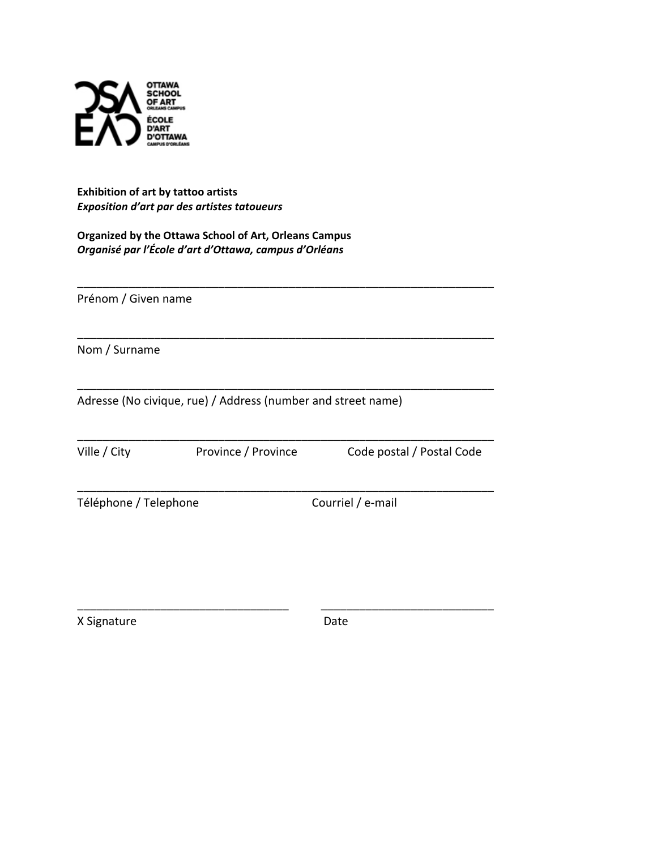

**Exhibition of art by tattoo artists Exposition d'art par des artistes tatoueurs** 

**Organized by the Ottawa School of Art, Orleans Campus** *Organisé par l'École d'art d'Ottawa, campus d'Orléans* 

Prénom / Given name

Nom / Surname

Adresse (No civique, rue) / Address (number and street name)

\_\_\_\_\_\_\_\_\_\_\_\_\_\_\_\_\_\_\_\_\_\_\_\_\_\_\_\_\_\_\_\_\_\_\_\_\_\_\_\_\_\_\_\_\_\_\_\_\_\_\_\_\_\_\_\_\_\_\_\_\_\_\_\_\_

\_\_\_\_\_\_\_\_\_\_\_\_\_\_\_\_\_\_\_\_\_\_\_\_\_\_\_\_\_\_\_\_\_\_\_\_\_\_\_\_\_\_\_\_\_\_\_\_\_\_\_\_\_\_\_\_\_\_\_\_\_\_\_\_\_

\_\_\_\_\_\_\_\_\_\_\_\_\_\_\_\_\_\_\_\_\_\_\_\_\_\_\_\_\_\_\_\_\_\_\_\_\_\_\_\_\_\_\_\_\_\_\_\_\_\_\_\_\_\_\_\_\_\_\_\_\_\_\_\_\_

\_\_\_\_\_\_\_\_\_\_\_\_\_\_\_\_\_\_\_\_\_\_\_\_\_\_\_\_\_\_\_\_\_\_\_\_\_\_\_\_\_\_\_\_\_\_\_\_\_\_\_\_\_\_\_\_\_\_\_\_\_\_\_\_\_

\_\_\_\_\_\_\_\_\_\_\_\_\_\_\_\_\_\_\_\_\_\_\_\_\_\_\_\_\_\_\_\_\_\_\_\_\_\_\_\_\_\_\_\_\_\_\_\_\_\_\_\_\_\_\_\_\_\_\_\_\_\_\_\_\_

\_\_\_\_\_\_\_\_\_\_\_\_\_\_\_\_\_\_\_\_\_\_\_\_\_\_\_\_\_\_\_\_\_!!!!!!!!!!!\_\_\_\_\_\_\_\_\_\_\_\_\_\_\_\_\_\_\_\_\_\_\_\_\_\_\_

Ville / City **Province / Province Code postal / Postal Code** 

Téléphone!/!Telephone !Courriel!/!eXmail

X Signature  $\qquad \qquad$  Date